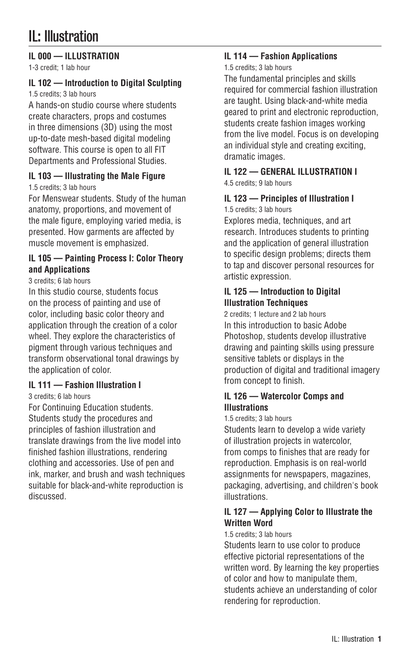# IL: Illustration

# **IL 000 — ILLUSTRATION**

1-3 credit; 1 lab hour

# **IL 102 — Introduction to Digital Sculpting**

1.5 credits; 3 lab hours

A hands-on studio course where students create characters, props and costumes in three dimensions (3D) using the most up-to-date mesh-based digital modeling software. This course is open to all FIT Departments and Professional Studies.

# **IL 103 — Illustrating the Male Figure**

1.5 credits; 3 lab hours

For Menswear students. Study of the human anatomy, proportions, and movement of the male figure, employing varied media, is presented. How garments are affected by muscle movement is emphasized.

# **IL 105 — Painting Process I: Color Theory and Applications**

3 credits; 6 lab hours

In this studio course, students focus on the process of painting and use of color, including basic color theory and application through the creation of a color wheel. They explore the characteristics of pigment through various techniques and transform observational tonal drawings by the application of color.

# **IL 111 — Fashion Illustration I**

3 credits; 6 lab hours

For Continuing Education students. Students study the procedures and principles of fashion illustration and translate drawings from the live model into finished fashion illustrations, rendering clothing and accessories. Use of pen and ink, marker, and brush and wash techniques suitable for black-and-white reproduction is discussed.

# **IL 114 — Fashion Applications**

### 1.5 credits; 3 lab hours

The fundamental principles and skills required for commercial fashion illustration are taught. Using black-and-white media geared to print and electronic reproduction, students create fashion images working from the live model. Focus is on developing an individual style and creating exciting, dramatic images.

# **IL 122 — GENERAL ILLUSTRATION I**

4.5 credits; 9 lab hours

# **IL 123 — Principles of Illustration I**

1.5 credits; 3 lab hours

Explores media, techniques, and art research. Introduces students to printing and the application of general illustration to specific design problems; directs them to tap and discover personal resources for artistic expression.

# **IL 125 — Introduction to Digital Illustration Techniques**

2 credits: 1 lecture and 2 lab hours In this introduction to basic Adobe Photoshop, students develop illustrative drawing and painting skills using pressure sensitive tablets or displays in the production of digital and traditional imagery from concept to finish.

### **IL 126 — Watercolor Comps and Illustrations**

1.5 credits; 3 lab hours

Students learn to develop a wide variety of illustration projects in watercolor, from comps to finishes that are ready for reproduction. Emphasis is on real-world assignments for newspapers, magazines, packaging, advertising, and children's book illustrations.

# **IL 127 — Applying Color to Illustrate the Written Word**

#### 1.5 credits; 3 lab hours

Students learn to use color to produce effective pictorial representations of the written word. By learning the key properties of color and how to manipulate them, students achieve an understanding of color rendering for reproduction.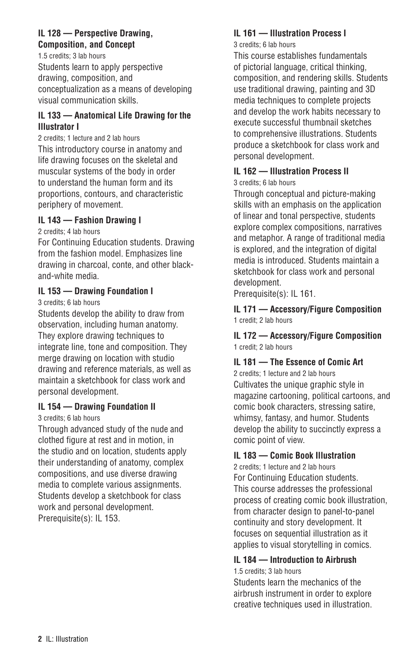### **IL 128 — Perspective Drawing, Composition, and Concept**

1.5 credits; 3 lab hours Students learn to apply perspective drawing, composition, and conceptualization as a means of developing visual communication skills.

# **IL 133 — Anatomical Life Drawing for the Illustrator I**

2 credits; 1 lecture and 2 lab hours This introductory course in anatomy and life drawing focuses on the skeletal and muscular systems of the body in order to understand the human form and its proportions, contours, and characteristic periphery of movement.

# **IL 143 — Fashion Drawing I**

2 credits; 4 lab hours

For Continuing Education students. Drawing from the fashion model. Emphasizes line drawing in charcoal, conte, and other blackand-white media.

# **IL 153 — Drawing Foundation I**

3 credits; 6 lab hours

Students develop the ability to draw from observation, including human anatomy. They explore drawing techniques to integrate line, tone and composition. They merge drawing on location with studio drawing and reference materials, as well as maintain a sketchbook for class work and personal development.

# **IL 154 — Drawing Foundation II**

3 credits; 6 lab hours

Through advanced study of the nude and clothed figure at rest and in motion, in the studio and on location, students apply their understanding of anatomy, complex compositions, and use diverse drawing media to complete various assignments. Students develop a sketchbook for class work and personal development. Prerequisite(s): IL 153.

# **IL 161 — Illustration Process I**

3 credits; 6 lab hours

This course establishes fundamentals of pictorial language, critical thinking, composition, and rendering skills. Students use traditional drawing, painting and 3D media techniques to complete projects and develop the work habits necessary to execute successful thumbnail sketches to comprehensive illustrations. Students produce a sketchbook for class work and personal development.

# **IL 162 — Illustration Process II**

3 credits; 6 lab hours

Through conceptual and picture-making skills with an emphasis on the application of linear and tonal perspective, students explore complex compositions, narratives and metaphor. A range of traditional media is explored, and the integration of digital media is introduced. Students maintain a sketchbook for class work and personal development.

Prerequisite(s): IL 161.

**IL 171 — Accessory/Figure Composition** 1 credit; 2 lab hours

### **IL 172 — Accessory/Figure Composition** 1 credit; 2 lab hours

# **IL 181 — The Essence of Comic Art**

2 credits; 1 lecture and 2 lab hours Cultivates the unique graphic style in magazine cartooning, political cartoons, and comic book characters, stressing satire, whimsy, fantasy, and humor. Students develop the ability to succinctly express a comic point of view.

# **IL 183 — Comic Book Illustration**

2 credits; 1 lecture and 2 lab hours For Continuing Education students. This course addresses the professional process of creating comic book illustration, from character design to panel-to-panel continuity and story development. It focuses on sequential illustration as it applies to visual storytelling in comics.

# **IL 184 — Introduction to Airbrush**

1.5 credits; 3 lab hours

Students learn the mechanics of the airbrush instrument in order to explore creative techniques used in illustration.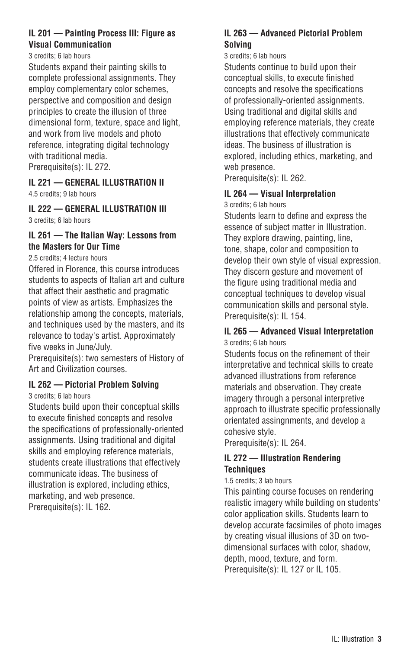### **IL 201 — Painting Process III: Figure as Visual Communication**

3 credits; 6 lab hours

Students expand their painting skills to complete professional assignments. They employ complementary color schemes, perspective and composition and design principles to create the illusion of three dimensional form, texture, space and light, and work from live models and photo reference, integrating digital technology with traditional media. Prerequisite(s): IL 272.

# **IL 221 — GENERAL ILLUSTRATION II**

4.5 credits; 9 lab hours

#### **IL 222 — GENERAL ILLUSTRATION III** 3 credits; 6 lab hours

### **IL 261 — The Italian Way: Lessons from the Masters for Our Time**

#### 2.5 credits; 4 lecture hours

Offered in Florence, this course introduces students to aspects of Italian art and culture that affect their aesthetic and pragmatic points of view as artists. Emphasizes the relationship among the concepts, materials, and techniques used by the masters, and its relevance to today's artist. Approximately five weeks in June/July.

Prerequisite(s): two semesters of History of Art and Civilization courses.

# **IL 262 — Pictorial Problem Solving**

3 credits; 6 lab hours

Students build upon their conceptual skills to execute finished concepts and resolve the specifications of professionally-oriented assignments. Using traditional and digital skills and employing reference materials, students create illustrations that effectively communicate ideas. The business of illustration is explored, including ethics, marketing, and web presence. Prerequisite(s): IL 162.

### **IL 263 — Advanced Pictorial Problem Solving**

#### 3 credits; 6 lab hours

Students continue to build upon their conceptual skills, to execute finished concepts and resolve the specifications of professionally-oriented assignments. Using traditional and digital skills and employing reference materials, they create illustrations that effectively communicate ideas. The business of illustration is explored, including ethics, marketing, and web presence.

Prerequisite(s): IL 262.

# **IL 264 — Visual Interpretation**

3 credits; 6 lab hours

Students learn to define and express the essence of subject matter in Illustration. They explore drawing, painting, line, tone, shape, color and composition to develop their own style of visual expression. They discern gesture and movement of the figure using traditional media and conceptual techniques to develop visual communication skills and personal style. Prerequisite(s): IL 154.

### **IL 265 — Advanced Visual Interpretation** 3 credits; 6 lab hours

Students focus on the refinement of their interpretative and technical skills to create advanced illustrations from reference materials and observation. They create imagery through a personal interpretive approach to illustrate specific professionally orientated assingnments, and develop a cohesive style.

Prerequisite(s): IL 264.

### **IL 272 — Illustration Rendering Techniques**

### 1.5 credits; 3 lab hours

This painting course focuses on rendering realistic imagery while building on students' color application skills. Students learn to develop accurate facsimiles of photo images by creating visual illusions of 3D on twodimensional surfaces with color, shadow, depth, mood, texture, and form. Prerequisite(s): IL 127 or IL 105.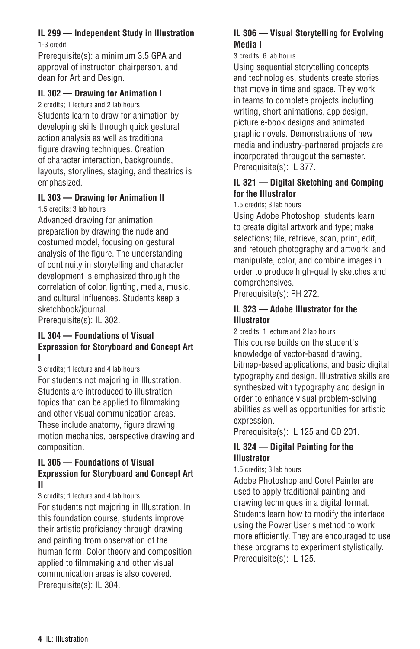# **IL 299 — Independent Study in Illustration**

1-3 credit

Prerequisite(s): a minimum 3.5 GPA and approval of instructor, chairperson, and dean for Art and Design.

# **IL 302 — Drawing for Animation I**

2 credits; 1 lecture and 2 lab hours Students learn to draw for animation by developing skills through quick gestural action analysis as well as traditional figure drawing techniques. Creation of character interaction, backgrounds, layouts, storylines, staging, and theatrics is emphasized.

# **IL 303 — Drawing for Animation II**

1.5 credits; 3 lab hours

Advanced drawing for animation preparation by drawing the nude and costumed model, focusing on gestural analysis of the figure. The understanding of continuity in storytelling and character development is emphasized through the correlation of color, lighting, media, music, and cultural influences. Students keep a sketchbook/journal. Prerequisite(s): IL 302.

#### **IL 304 — Foundations of Visual Expression for Storyboard and Concept Art I**

3 credits; 1 lecture and 4 lab hours For students not majoring in Illustration. Students are introduced to illustration topics that can be applied to filmmaking and other visual communication areas. These include anatomy, figure drawing, motion mechanics, perspective drawing and composition.

### **IL 305 — Foundations of Visual Expression for Storyboard and Concept Art II**

3 credits; 1 lecture and 4 lab hours

For students not majoring in Illustration. In this foundation course, students improve their artistic proficiency through drawing and painting from observation of the human form. Color theory and composition applied to filmmaking and other visual communication areas is also covered. Prerequisite(s): IL 304.

# **IL 306 — Visual Storytelling for Evolving Media I**

### 3 credits; 6 lab hours

Using sequential storytelling concepts and technologies, students create stories that move in time and space. They work in teams to complete projects including writing, short animations, app design, picture e-book designs and animated graphic novels. Demonstrations of new media and industry-partnered projects are incorporated througout the semester. Prerequisite(s): IL 377.

# **IL 321 — Digital Sketching and Comping for the Illustrator**

1.5 credits; 3 lab hours

Using Adobe Photoshop, students learn to create digital artwork and type; make selections; file, retrieve, scan, print, edit, and retouch photography and artwork; and manipulate, color, and combine images in order to produce high-quality sketches and comprehensives.

Prerequisite(s): PH 272.

# **IL 323 — Adobe Illustrator for the Illustrator**

2 credits; 1 lecture and 2 lab hours This course builds on the student's knowledge of vector-based drawing, bitmap-based applications, and basic digital typography and design. Illustrative skills are synthesized with typography and design in order to enhance visual problem-solving abilities as well as opportunities for artistic expression.

Prerequisite(s): IL 125 and CD 201.

# **IL 324 — Digital Painting for the Illustrator**

# 1.5 credits; 3 lab hours

Adobe Photoshop and Corel Painter are used to apply traditional painting and drawing techniques in a digital format. Students learn how to modify the interface using the Power User's method to work more efficiently. They are encouraged to use these programs to experiment stylistically. Prerequisite(s): IL 125.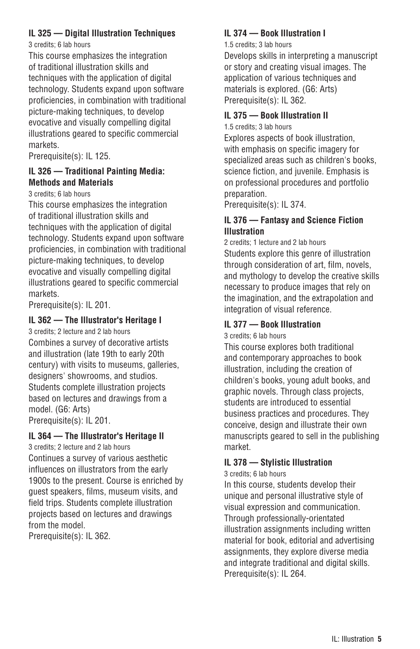# **IL 325 — Digital Illustration Techniques**

3 credits; 6 lab hours

This course emphasizes the integration of traditional illustration skills and techniques with the application of digital technology. Students expand upon software proficiencies, in combination with traditional picture-making techniques, to develop evocative and visually compelling digital illustrations geared to specific commercial markets.

Prerequisite(s): IL 125.

# **IL 326 — Traditional Painting Media: Methods and Materials**

3 credits; 6 lab hours

This course emphasizes the integration of traditional illustration skills and techniques with the application of digital technology. Students expand upon software proficiencies, in combination with traditional picture-making techniques, to develop evocative and visually compelling digital illustrations geared to specific commercial markets.

Prerequisite(s): IL 201.

# **IL 362 — The Illustrator's Heritage I**

3 credits; 2 lecture and 2 lab hours Combines a survey of decorative artists and illustration (late 19th to early 20th century) with visits to museums, galleries, designers' showrooms, and studios. Students complete illustration projects based on lectures and drawings from a model. (G6: Arts) Prerequisite(s): IL 201.

# **IL 364 — The Illustrator's Heritage II**

3 credits; 2 lecture and 2 lab hours Continues a survey of various aesthetic influences on illustrators from the early 1900s to the present. Course is enriched by guest speakers, films, museum visits, and field trips. Students complete illustration projects based on lectures and drawings from the model.

Prerequisite(s): IL 362.

# **IL 374 — Book Illustration I**

1.5 credits; 3 lab hours

Develops skills in interpreting a manuscript or story and creating visual images. The application of various techniques and materials is explored. (G6: Arts) Prerequisite(s): IL 362.

# **IL 375 — Book Illustration II**

1.5 credits; 3 lab hours

Explores aspects of book illustration, with emphasis on specific imagery for specialized areas such as children's books, science fiction, and juvenile. Emphasis is on professional procedures and portfolio preparation.

Prerequisite(s): IL 374.

# **IL 376 — Fantasy and Science Fiction Illustration**

2 credits; 1 lecture and 2 lab hours Students explore this genre of illustration through consideration of art, film, novels, and mythology to develop the creative skills necessary to produce images that rely on the imagination, and the extrapolation and integration of visual reference.

# **IL 377 — Book Illustration**

3 credits; 6 lab hours

This course explores both traditional and contemporary approaches to book illustration, including the creation of children's books, young adult books, and graphic novels. Through class projects, students are introduced to essential business practices and procedures. They conceive, design and illustrate their own manuscripts geared to sell in the publishing market.

# **IL 378 — Stylistic Illustration**

3 credits; 6 lab hours

In this course, students develop their unique and personal illustrative style of visual expression and communication. Through professionally-orientated illustration assignments including written material for book, editorial and advertising assignments, they explore diverse media and integrate traditional and digital skills. Prerequisite(s): IL 264.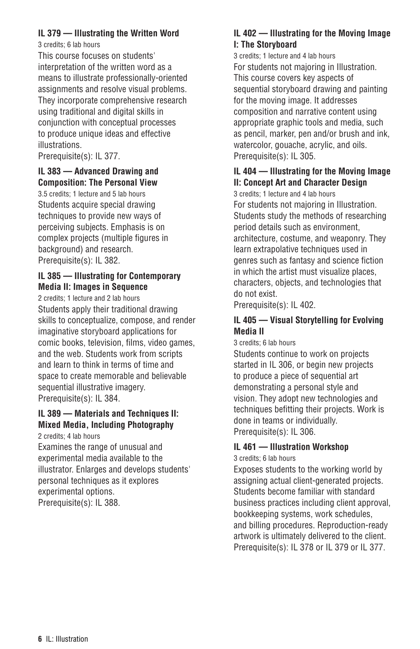# **IL 379 — Illustrating the Written Word**

3 credits; 6 lab hours

This course focuses on students' interpretation of the written word as a means to illustrate professionally-oriented assignments and resolve visual problems. They incorporate comprehensive research using traditional and digital skills in conjunction with conceptual processes to produce unique ideas and effective illustrations.

Prerequisite(s): IL 377.

# **IL 383 — Advanced Drawing and Composition: The Personal View**

3.5 credits; 1 lecture and 5 lab hours Students acquire special drawing techniques to provide new ways of perceiving subjects. Emphasis is on complex projects (multiple figures in background) and research. Prerequisite(s): IL 382.

# **IL 385 — Illustrating for Contemporary Media II: Images in Sequence**

2 credits; 1 lecture and 2 lab hours Students apply their traditional drawing skills to conceptualize, compose, and render imaginative storyboard applications for comic books, television, films, video games, and the web. Students work from scripts and learn to think in terms of time and space to create memorable and believable sequential illustrative imagery. Prerequisite(s): IL 384.

# **IL 389 — Materials and Techniques II: Mixed Media, Including Photography**

2 credits; 4 lab hours Examines the range of unusual and experimental media available to the illustrator. Enlarges and develops students' personal techniques as it explores experimental options. Prerequisite(s): IL 388.

# **IL 402 — Illustrating for the Moving Image I: The Storyboard**

3 credits; 1 lecture and 4 lab hours For students not majoring in Illustration. This course covers key aspects of sequential storyboard drawing and painting for the moving image. It addresses composition and narrative content using appropriate graphic tools and media, such as pencil, marker, pen and/or brush and ink, watercolor, gouache, acrylic, and oils. Prerequisite(s): IL 305.

# **IL 404 — Illustrating for the Moving Image II: Concept Art and Character Design**

3 credits; 1 lecture and 4 lab hours For students not majoring in Illustration. Students study the methods of researching period details such as environment, architecture, costume, and weaponry. They learn extrapolative techniques used in genres such as fantasy and science fiction in which the artist must visualize places, characters, objects, and technologies that do not exist.

Prerequisite(s): IL 402.

# **IL 405 — Visual Storytelling for Evolving Media II**

3 credits; 6 lab hours

Students continue to work on projects started in IL 306, or begin new projects to produce a piece of sequential art demonstrating a personal style and vision. They adopt new technologies and techniques befitting their projects. Work is done in teams or individually. Prerequisite(s): IL 306.

# **IL 461 — Illustration Workshop**

3 credits; 6 lab hours

Exposes students to the working world by assigning actual client-generated projects. Students become familiar with standard business practices including client approval, bookkeeping systems, work schedules, and billing procedures. Reproduction-ready artwork is ultimately delivered to the client. Prerequisite(s): IL 378 or IL 379 or IL 377.